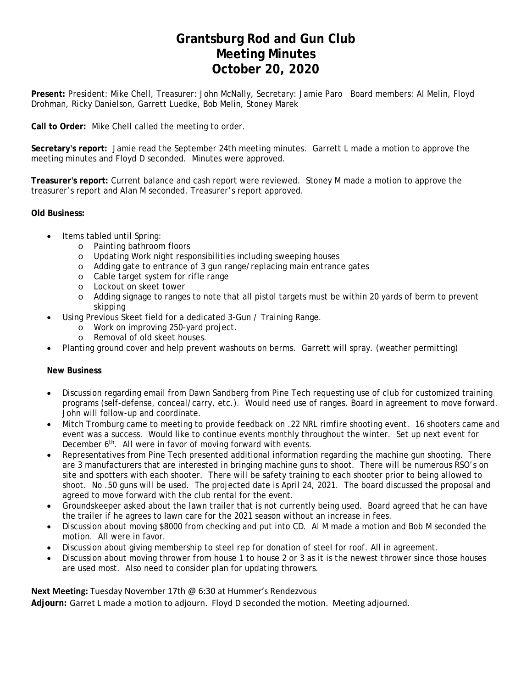### **Grantsburg Rod and Gun Club Meeting Minutes October 20, 2020**

**Present:** President: Mike Chell, Treasurer: John McNally, Secretary: Jamie Paro Board members: Al Melin, Floyd Drohman, Ricky Danielson, Garrett Luedke, Bob Melin, Stoney Marek

**Call to Order:** Mike Chell called the meeting to order.

**Secretary's report:** Jamie read the September 24th meeting minutes. Garrett L made a motion to approve the meeting minutes and Floyd D seconded. Minutes were approved.

**Treasurer's report:** Current balance and cash report were reviewed. Stoney M made a motion to approve the treasurer's report and Alan M seconded. Treasurer's report approved.

#### **Old Business:**

- Items tabled until Spring:
	- o Painting bathroom floors
	- o Updating Work night responsibilities including sweeping houses
	- o Adding gate to entrance of 3 gun range/replacing main entrance gates
	- o Cable target system for rifle range
	- o Lockout on skeet tower
	- o Adding signage to ranges to note that all pistol targets must be within 20 yards of berm to prevent skipping
- Using Previous Skeet field for a dedicated 3-Gun / Training Range.
	- o Work on improving 250-yard project.
	- o Removal of old skeet houses.
- Planting ground cover and help prevent washouts on berms. Garrett will spray. (weather permitting)

#### **New Business**

- Discussion regarding email from Dawn Sandberg from Pine Tech requesting use of club for customized training programs (self-defense, conceal/carry, etc.). Would need use of ranges. Board in agreement to move forward. John will follow-up and coordinate.
- Mitch Tromburg came to meeting to provide feedback on .22 NRL rimfire shooting event. 16 shooters came and event was a success. Would like to continue events monthly throughout the winter. Set up next event for December 6<sup>th</sup>. All were in favor of moving forward with events.
- Representatives from Pine Tech presented additional information regarding the machine gun shooting. There are 3 manufacturers that are interested in bringing machine guns to shoot. There will be numerous RSO's on site and spotters with each shooter. There will be safety training to each shooter prior to being allowed to shoot. No .50 guns will be used. The projected date is April 24, 2021. The board discussed the proposal and agreed to move forward with the club rental for the event.
- Groundskeeper asked about the lawn trailer that is not currently being used. Board agreed that he can have the trailer if he agrees to lawn care for the 2021 season without an increase in fees.
- Discussion about moving \$8000 from checking and put into CD. Al M made a motion and Bob M seconded the motion. All were in favor.
- Discussion about giving membership to steel rep for donation of steel for roof. All in agreement.
- Discussion about moving thrower from house 1 to house 2 or 3 as it is the newest thrower since those houses are used most. Also need to consider plan for updating throwers.

**Next Meeting:** Tuesday November 17th @ 6:30 at Hummer's Rendezvous

**Adjourn:** Garret L made a motion to adjourn. Floyd D seconded the motion. Meeting adjourned.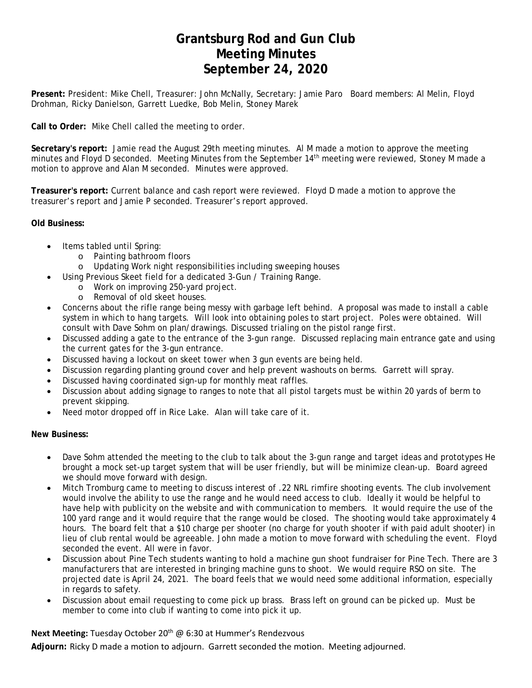### **Grantsburg Rod and Gun Club Meeting Minutes September 24, 2020**

**Present:** President: Mike Chell, Treasurer: John McNally, Secretary: Jamie Paro Board members: Al Melin, Floyd Drohman, Ricky Danielson, Garrett Luedke, Bob Melin, Stoney Marek

**Call to Order:** Mike Chell called the meeting to order.

**Secretary's report:** Jamie read the August 29th meeting minutes. Al M made a motion to approve the meeting minutes and Floyd D seconded. Meeting Minutes from the September 14th meeting were reviewed, Stoney M made a motion to approve and Alan M seconded. Minutes were approved.

**Treasurer's report:** Current balance and cash report were reviewed. Floyd D made a motion to approve the treasurer's report and Jamie P seconded. Treasurer's report approved.

**Old Business:** 

- Items tabled until Spring:
	- o Painting bathroom floors
	- o Updating Work night responsibilities including sweeping houses
- Using Previous Skeet field for a dedicated 3-Gun / Training Range.
	- o Work on improving 250-yard project.
	- o Removal of old skeet houses.
- Concerns about the rifle range being messy with garbage left behind. A proposal was made to install a cable system in which to hang targets. Will look into obtaining poles to start project. Poles were obtained. Will consult with Dave Sohm on plan/drawings. Discussed trialing on the pistol range first.
- Discussed adding a gate to the entrance of the 3-gun range. Discussed replacing main entrance gate and using the current gates for the 3-gun entrance.
- Discussed having a lockout on skeet tower when 3 gun events are being held.
- Discussion regarding planting ground cover and help prevent washouts on berms. Garrett will spray.
- Discussed having coordinated sign-up for monthly meat raffles.
- Discussion about adding signage to ranges to note that all pistol targets must be within 20 yards of berm to prevent skipping.
- Need motor dropped off in Rice Lake. Alan will take care of it.

**New Business:** 

- Dave Sohm attended the meeting to the club to talk about the 3-gun range and target ideas and prototypes He brought a mock set-up target system that will be user friendly, but will be minimize clean-up. Board agreed we should move forward with design.
- Mitch Tromburg came to meeting to discuss interest of .22 NRL rimfire shooting events. The club involvement would involve the ability to use the range and he would need access to club. Ideally it would be helpful to have help with publicity on the website and with communication to members. It would require the use of the 100 yard range and it would require that the range would be closed. The shooting would take approximately 4 hours. The board felt that a \$10 charge per shooter (no charge for youth shooter if with paid adult shooter) in lieu of club rental would be agreeable. John made a motion to move forward with scheduling the event. Floyd seconded the event. All were in favor.
- Discussion about Pine Tech students wanting to hold a machine gun shoot fundraiser for Pine Tech. There are 3 manufacturers that are interested in bringing machine guns to shoot. We would require RSO on site. The projected date is April 24, 2021. The board feels that we would need some additional information, especially in regards to safety.
- Discussion about email requesting to come pick up brass. Brass left on ground can be picked up. Must be member to come into club if wanting to come into pick it up.

**Next Meeting:** Tuesday October 20th @ 6:30 at Hummer's Rendezvous

**Adjourn:** Ricky D made a motion to adjourn. Garrett seconded the motion. Meeting adjourned.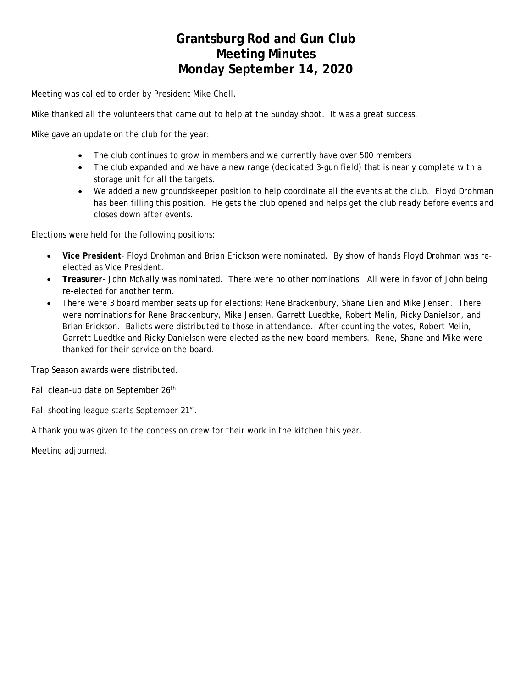### **Grantsburg Rod and Gun Club Meeting Minutes Monday September 14, 2020**

Meeting was called to order by President Mike Chell.

Mike thanked all the volunteers that came out to help at the Sunday shoot. It was a great success.

Mike gave an update on the club for the year:

- The club continues to grow in members and we currently have over 500 members
- The club expanded and we have a new range (dedicated 3-gun field) that is nearly complete with a storage unit for all the targets.
- We added a new groundskeeper position to help coordinate all the events at the club. Floyd Drohman has been filling this position. He gets the club opened and helps get the club ready before events and closes down after events.

Elections were held for the following positions:

- **Vice President** Floyd Drohman and Brian Erickson were nominated. By show of hands Floyd Drohman was reelected as Vice President.
- **Treasurer** John McNally was nominated. There were no other nominations. All were in favor of John being re-elected for another term.
- There were 3 board member seats up for elections: Rene Brackenbury, Shane Lien and Mike Jensen. There were nominations for Rene Brackenbury, Mike Jensen, Garrett Luedtke, Robert Melin, Ricky Danielson, and Brian Erickson. Ballots were distributed to those in attendance. After counting the votes, Robert Melin, Garrett Luedtke and Ricky Danielson were elected as the new board members. Rene, Shane and Mike were thanked for their service on the board.

Trap Season awards were distributed.

Fall clean-up date on September 26<sup>th</sup>.

Fall shooting league starts September 21st.

A thank you was given to the concession crew for their work in the kitchen this year.

Meeting adjourned.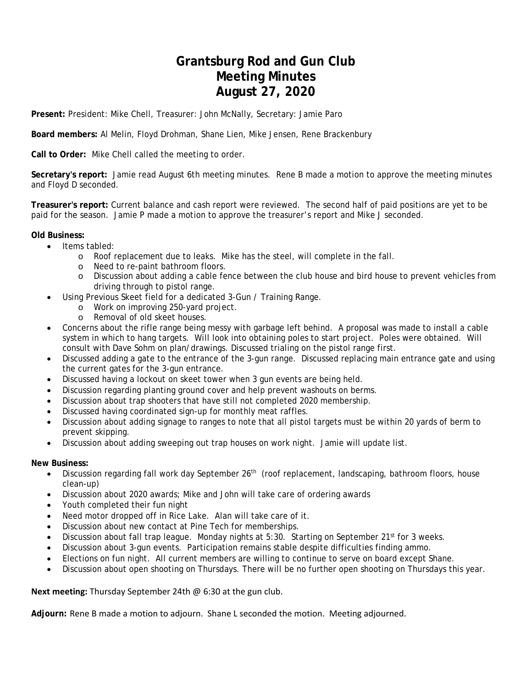### **Grantsburg Rod and Gun Club Meeting Minutes August 27, 2020**

**Present:** President: Mike Chell, Treasurer: John McNally, Secretary: Jamie Paro

**Board members:** Al Melin, Floyd Drohman, Shane Lien, Mike Jensen, Rene Brackenbury

**Call to Order:** Mike Chell called the meeting to order.

**Secretary's report:** Jamie read August 6th meeting minutes. Rene B made a motion to approve the meeting minutes and Floyd D seconded.

**Treasurer's report:** Current balance and cash report were reviewed. The second half of paid positions are yet to be paid for the season. Jamie P made a motion to approve the treasurer's report and Mike J seconded.

#### **Old Business:**

- $\bullet$  Items tabled:
	- o Roof replacement due to leaks. Mike has the steel, will complete in the fall.
	- o Need to re-paint bathroom floors.
	- o Discussion about adding a cable fence between the club house and bird house to prevent vehicles from driving through to pistol range.
- Using Previous Skeet field for a dedicated 3-Gun / Training Range.
	- o Work on improving 250-yard project.
	- o Removal of old skeet houses.
- Concerns about the rifle range being messy with garbage left behind. A proposal was made to install a cable system in which to hang targets. Will look into obtaining poles to start project. Poles were obtained. Will consult with Dave Sohm on plan/drawings. Discussed trialing on the pistol range first.
- Discussed adding a gate to the entrance of the 3-gun range. Discussed replacing main entrance gate and using the current gates for the 3-gun entrance.
- Discussed having a lockout on skeet tower when 3 gun events are being held.
- Discussion regarding planting ground cover and help prevent washouts on berms.
- Discussion about trap shooters that have still not completed 2020 membership.
- Discussed having coordinated sign-up for monthly meat raffles.
- Discussion about adding signage to ranges to note that all pistol targets must be within 20 yards of berm to prevent skipping.
- Discussion about adding sweeping out trap houses on work night. Jamie will update list.

#### **New Business:**

- $\bullet$  Discussion regarding fall work day September 26<sup>th</sup> (roof replacement, landscaping, bathroom floors, house clean-up)
- Discussion about 2020 awards; Mike and John will take care of ordering awards
- Youth completed their fun night
- Need motor dropped off in Rice Lake. Alan will take care of it.
- Discussion about new contact at Pine Tech for memberships.
- Discussion about fall trap league. Monday nights at 5:30. Starting on September 21<sup>st</sup> for 3 weeks.
- Discussion about 3-gun events. Participation remains stable despite difficulties finding ammo.
- Elections on fun night. All current members are willing to continue to serve on board except Shane.
- Discussion about open shooting on Thursdays. There will be no further open shooting on Thursdays this year.

**Next meeting:** Thursday September 24th @ 6:30 at the gun club.

**Adjourn:** Rene B made a motion to adjourn. Shane L seconded the motion. Meeting adjourned.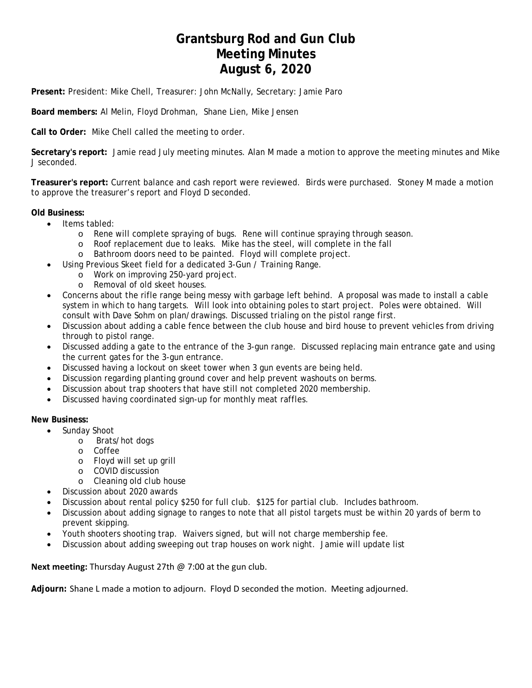### **Grantsburg Rod and Gun Club Meeting Minutes August 6, 2020**

**Present:** President: Mike Chell, Treasurer: John McNally, Secretary: Jamie Paro

**Board members:** Al Melin, Floyd Drohman, Shane Lien, Mike Jensen

**Call to Order:** Mike Chell called the meeting to order.

**Secretary's report:** Jamie read July meeting minutes. Alan M made a motion to approve the meeting minutes and Mike J seconded.

**Treasurer's report:** Current balance and cash report were reviewed. Birds were purchased. Stoney M made a motion to approve the treasurer's report and Floyd D seconded.

#### **Old Business:**

- Items tabled:
	- o Rene will complete spraying of bugs. Rene will continue spraying through season.
	- o Roof replacement due to leaks. Mike has the steel, will complete in the fall
	- o Bathroom doors need to be painted. Floyd will complete project.
- Using Previous Skeet field for a dedicated 3-Gun / Training Range.
	- o Work on improving 250-yard project.
	- o Removal of old skeet houses.
- Concerns about the rifle range being messy with garbage left behind. A proposal was made to install a cable system in which to hang targets. Will look into obtaining poles to start project. Poles were obtained. Will consult with Dave Sohm on plan/drawings. Discussed trialing on the pistol range first.
- Discussion about adding a cable fence between the club house and bird house to prevent vehicles from driving through to pistol range.
- Discussed adding a gate to the entrance of the 3-gun range. Discussed replacing main entrance gate and using the current gates for the 3-gun entrance.
- Discussed having a lockout on skeet tower when 3 gun events are being held.
- Discussion regarding planting ground cover and help prevent washouts on berms.
- Discussion about trap shooters that have still not completed 2020 membership.
- Discussed having coordinated sign-up for monthly meat raffles.

#### **New Business:**

- Sunday Shoot
	- o Brats/hot dogs
	- o Coffee
	- o Floyd will set up grill
	- o COVID discussion
	- o Cleaning old club house
- Discussion about 2020 awards
- Discussion about rental policy \$250 for full club. \$125 for partial club. Includes bathroom.
- Discussion about adding signage to ranges to note that all pistol targets must be within 20 yards of berm to prevent skipping.
- Youth shooters shooting trap. Waivers signed, but will not charge membership fee.
- Discussion about adding sweeping out trap houses on work night. Jamie will update list

**Next meeting:** Thursday August 27th @ 7:00 at the gun club.

**Adjourn:** Shane L made a motion to adjourn. Floyd D seconded the motion. Meeting adjourned.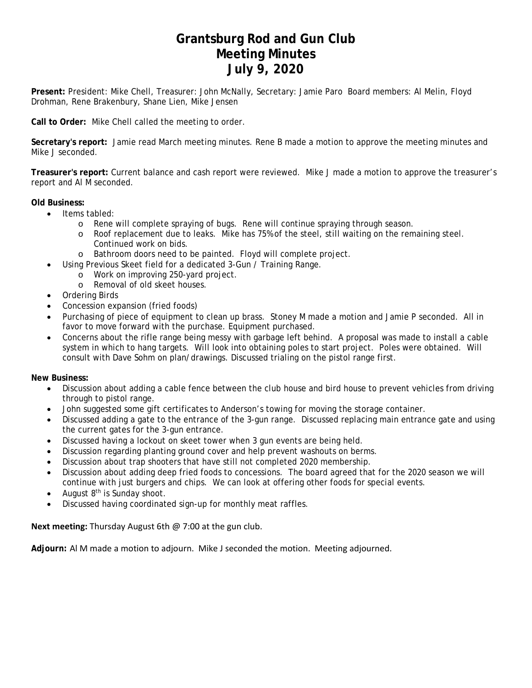### **Grantsburg Rod and Gun Club Meeting Minutes July 9, 2020**

**Present:** President: Mike Chell, Treasurer: John McNally, Secretary: Jamie Paro Board members: Al Melin, Floyd Drohman, Rene Brakenbury, Shane Lien, Mike Jensen

**Call to Order:** Mike Chell called the meeting to order.

**Secretary's report:** Jamie read March meeting minutes. Rene B made a motion to approve the meeting minutes and Mike J seconded.

**Treasurer's report:** Current balance and cash report were reviewed. Mike J made a motion to approve the treasurer's report and Al M seconded.

**Old Business:** 

- Items tabled:
	- o Rene will complete spraying of bugs. Rene will continue spraying through season.
	- o Roof replacement due to leaks. Mike has 75% of the steel, still waiting on the remaining steel. Continued work on bids.
	- o Bathroom doors need to be painted. Floyd will complete project.
- Using Previous Skeet field for a dedicated 3-Gun / Training Range.
	- o Work on improving 250-yard project.
	- o Removal of old skeet houses.
- Ordering Birds
- Concession expansion (fried foods)
- Purchasing of piece of equipment to clean up brass. Stoney M made a motion and Jamie P seconded. All in favor to move forward with the purchase. Equipment purchased.
- Concerns about the rifle range being messy with garbage left behind. A proposal was made to install a cable system in which to hang targets. Will look into obtaining poles to start project. Poles were obtained. Will consult with Dave Sohm on plan/drawings. Discussed trialing on the pistol range first.

**New Business:** 

- Discussion about adding a cable fence between the club house and bird house to prevent vehicles from driving through to pistol range.
- John suggested some gift certificates to Anderson's towing for moving the storage container.
- Discussed adding a gate to the entrance of the 3-gun range. Discussed replacing main entrance gate and using the current gates for the 3-gun entrance.
- Discussed having a lockout on skeet tower when 3 gun events are being held.
- Discussion regarding planting ground cover and help prevent washouts on berms.
- Discussion about trap shooters that have still not completed 2020 membership.
- Discussion about adding deep fried foods to concessions. The board agreed that for the 2020 season we will continue with just burgers and chips. We can look at offering other foods for special events.
- August  $8<sup>th</sup>$  is Sunday shoot.
- Discussed having coordinated sign-up for monthly meat raffles.

**Next meeting:** Thursday August 6th @ 7:00 at the gun club.

**Adjourn:** Al M made a motion to adjourn. Mike J seconded the motion. Meeting adjourned.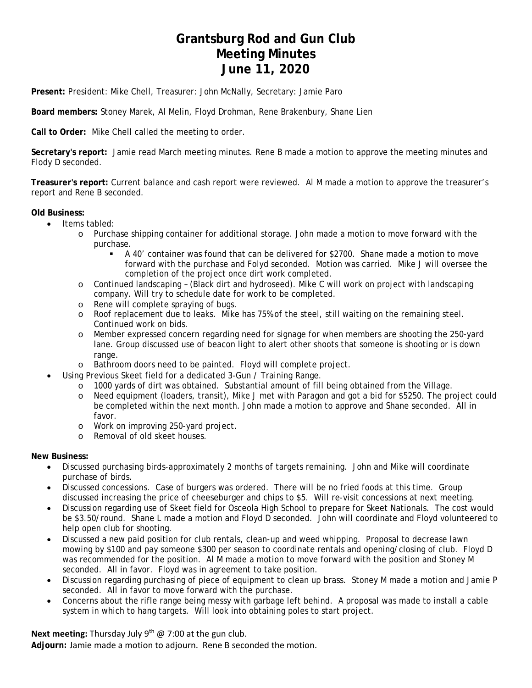### **Grantsburg Rod and Gun Club Meeting Minutes June 11, 2020**

**Present:** President: Mike Chell, Treasurer: John McNally, Secretary: Jamie Paro

**Board members:** Stoney Marek, Al Melin, Floyd Drohman, Rene Brakenbury, Shane Lien

**Call to Order:** Mike Chell called the meeting to order.

**Secretary's report:** Jamie read March meeting minutes. Rene B made a motion to approve the meeting minutes and Flody D seconded.

**Treasurer's report:** Current balance and cash report were reviewed. Al M made a motion to approve the treasurer's report and Rene B seconded.

#### **Old Business:**

- Items tabled:
	- o Purchase shipping container for additional storage. John made a motion to move forward with the purchase.
		- A 40' container was found that can be delivered for \$2700. Shane made a motion to move forward with the purchase and Folyd seconded. Motion was carried. Mike J will oversee the completion of the project once dirt work completed.
	- o Continued landscaping (Black dirt and hydroseed). Mike C will work on project with landscaping company. Will try to schedule date for work to be completed.
	- o Rene will complete spraying of bugs.
	- o Roof replacement due to leaks. Mike has 75% of the steel, still waiting on the remaining steel. Continued work on bids.
	- o Member expressed concern regarding need for signage for when members are shooting the 250-yard lane. Group discussed use of beacon light to alert other shoots that someone is shooting or is down range.
	- o Bathroom doors need to be painted. Floyd will complete project.
- Using Previous Skeet field for a dedicated 3-Gun / Training Range.
	- o 1000 yards of dirt was obtained. Substantial amount of fill being obtained from the Village.
	- o Need equipment (loaders, transit), Mike J met with Paragon and got a bid for \$5250. The project could be completed within the next month. John made a motion to approve and Shane seconded. All in favor.
	- o Work on improving 250-yard project.
	- o Removal of old skeet houses.

#### **New Business:**

- Discussed purchasing birds-approximately 2 months of targets remaining. John and Mike will coordinate purchase of birds.
- Discussed concessions. Case of burgers was ordered. There will be no fried foods at this time. Group discussed increasing the price of cheeseburger and chips to \$5. Will re-visit concessions at next meeting.
- Discussion regarding use of Skeet field for Osceola High School to prepare for Skeet Nationals. The cost would be \$3.50/round. Shane L made a motion and Floyd D seconded. John will coordinate and Floyd volunteered to help open club for shooting.
- Discussed a new paid position for club rentals, clean-up and weed whipping. Proposal to decrease lawn mowing by \$100 and pay someone \$300 per season to coordinate rentals and opening/closing of club. Floyd D was recommended for the position. Al M made a motion to move forward with the position and Stoney M seconded. All in favor. Floyd was in agreement to take position.
- Discussion regarding purchasing of piece of equipment to clean up brass. Stoney M made a motion and Jamie P seconded. All in favor to move forward with the purchase.
- Concerns about the rifle range being messy with garbage left behind. A proposal was made to install a cable system in which to hang targets. Will look into obtaining poles to start project.

**Next meeting:** Thursday July 9<sup>th</sup> @ 7:00 at the gun club.

**Adjourn:** Jamie made a motion to adjourn. Rene B seconded the motion.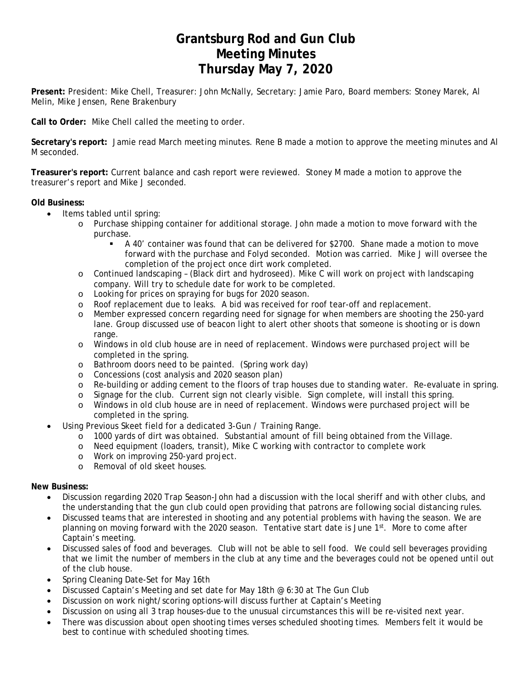### **Grantsburg Rod and Gun Club Meeting Minutes Thursday May 7, 2020**

**Present:** President: Mike Chell, Treasurer: John McNally, Secretary: Jamie Paro, Board members: Stoney Marek, Al Melin, Mike Jensen, Rene Brakenbury

**Call to Order:** Mike Chell called the meeting to order.

**Secretary's report:** Jamie read March meeting minutes. Rene B made a motion to approve the meeting minutes and Al M seconded.

**Treasurer's report:** Current balance and cash report were reviewed. Stoney M made a motion to approve the treasurer's report and Mike J seconded.

#### **Old Business:**

- Items tabled until spring:
	- o Purchase shipping container for additional storage. John made a motion to move forward with the purchase.
		- A 40' container was found that can be delivered for \$2700. Shane made a motion to move forward with the purchase and Folyd seconded. Motion was carried. Mike J will oversee the completion of the project once dirt work completed.
	- o Continued landscaping (Black dirt and hydroseed). Mike C will work on project with landscaping company. Will try to schedule date for work to be completed.
	- o Looking for prices on spraying for bugs for 2020 season.
	- o Roof replacement due to leaks. A bid was received for roof tear-off and replacement.
	- o Member expressed concern regarding need for signage for when members are shooting the 250-yard lane. Group discussed use of beacon light to alert other shoots that someone is shooting or is down range.
	- o Windows in old club house are in need of replacement. Windows were purchased project will be completed in the spring.
	- o Bathroom doors need to be painted. (Spring work day)
	- o Concessions (cost analysis and 2020 season plan)
	- o Re-building or adding cement to the floors of trap houses due to standing water. Re-evaluate in spring.
	- o Signage for the club. Current sign not clearly visible. Sign complete, will install this spring.
	- o Windows in old club house are in need of replacement. Windows were purchased project will be completed in the spring.
- Using Previous Skeet field for a dedicated 3-Gun / Training Range.
	- o 1000 yards of dirt was obtained. Substantial amount of fill being obtained from the Village.
	- o Need equipment (loaders, transit), Mike C working with contractor to complete work
	- o Work on improving 250-yard project.
	- o Removal of old skeet houses.

#### **New Business:**

- Discussion regarding 2020 Trap Season-John had a discussion with the local sheriff and with other clubs, and the understanding that the gun club could open providing that patrons are following social distancing rules.
- Discussed teams that are interested in shooting and any potential problems with having the season. We are planning on moving forward with the 2020 season. Tentative start date is June 1st. More to come after Captain's meeting.
- Discussed sales of food and beverages. Club will not be able to sell food. We could sell beverages providing that we limit the number of members in the club at any time and the beverages could not be opened until out of the club house.
- Spring Cleaning Date-Set for May 16th
- Discussed Captain's Meeting and set date for May 18th @ 6:30 at The Gun Club
- Discussion on work night/scoring options-will discuss further at Captain's Meeting
- Discussion on using all 3 trap houses-due to the unusual circumstances this will be re-visited next year.
- There was discussion about open shooting times verses scheduled shooting times. Members felt it would be best to continue with scheduled shooting times.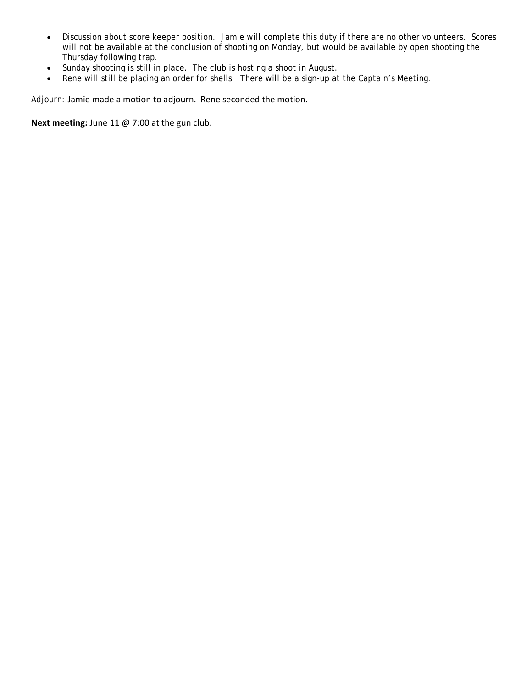- Discussion about score keeper position. Jamie will complete this duty if there are no other volunteers. Scores will not be available at the conclusion of shooting on Monday, but would be available by open shooting the Thursday following trap.
- Sunday shooting is still in place. The club is hosting a shoot in August.
- Rene will still be placing an order for shells. There will be a sign-up at the Captain's Meeting.

Adjourn: Jamie made a motion to adjourn. Rene seconded the motion.

**Next meeting:** June 11 @ 7:00 at the gun club.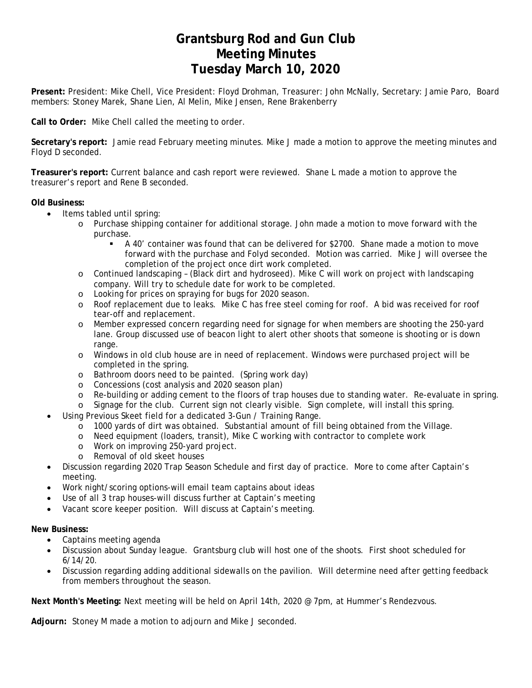### **Grantsburg Rod and Gun Club Meeting Minutes Tuesday March 10, 2020**

**Present:** President: Mike Chell, Vice President: Floyd Drohman, Treasurer: John McNally, Secretary: Jamie Paro, Board members: Stoney Marek, Shane Lien, Al Melin, Mike Jensen, Rene Brakenberry

**Call to Order:** Mike Chell called the meeting to order.

**Secretary's report:** Jamie read February meeting minutes. Mike J made a motion to approve the meeting minutes and Floyd D seconded.

**Treasurer's report:** Current balance and cash report were reviewed. Shane L made a motion to approve the treasurer's report and Rene B seconded.

#### **Old Business:**

- $\bullet$  Items tabled until spring:
	- o Purchase shipping container for additional storage. John made a motion to move forward with the purchase.
		- A 40' container was found that can be delivered for \$2700. Shane made a motion to move forward with the purchase and Folyd seconded. Motion was carried. Mike J will oversee the completion of the project once dirt work completed.
	- o Continued landscaping (Black dirt and hydroseed). Mike C will work on project with landscaping company. Will try to schedule date for work to be completed.
	- o Looking for prices on spraying for bugs for 2020 season.
	- o Roof replacement due to leaks. Mike C has free steel coming for roof. A bid was received for roof tear-off and replacement.
	- o Member expressed concern regarding need for signage for when members are shooting the 250-yard lane. Group discussed use of beacon light to alert other shoots that someone is shooting or is down range.
	- o Windows in old club house are in need of replacement. Windows were purchased project will be completed in the spring.
	- o Bathroom doors need to be painted. (Spring work day)
	- o Concessions (cost analysis and 2020 season plan)
	- o Re-building or adding cement to the floors of trap houses due to standing water. Re-evaluate in spring.
	- o Signage for the club. Current sign not clearly visible. Sign complete, will install this spring.
- Using Previous Skeet field for a dedicated 3-Gun / Training Range.
	- $\sim$  1000 yards of dirt was obtained. Substantial amount of fill being obtained from the Village.
	- o Need equipment (loaders, transit), Mike C working with contractor to complete work
	- o Work on improving 250-yard project.
	- o Removal of old skeet houses
- Discussion regarding 2020 Trap Season Schedule and first day of practice. More to come after Captain's meeting.
- Work night/scoring options-will email team captains about ideas
- Use of all 3 trap houses-will discuss further at Captain's meeting
- Vacant score keeper position. Will discuss at Captain's meeting.

#### **New Business:**

- Captains meeting agenda
- Discussion about Sunday league. Grantsburg club will host one of the shoots. First shoot scheduled for 6/14/20.
- Discussion regarding adding additional sidewalls on the pavilion. Will determine need after getting feedback from members throughout the season.

**Next Month's Meeting:** Next meeting will be held on April 14th, 2020 @ 7pm, at Hummer's Rendezvous.

**Adjourn:** Stoney M made a motion to adjourn and Mike J seconded.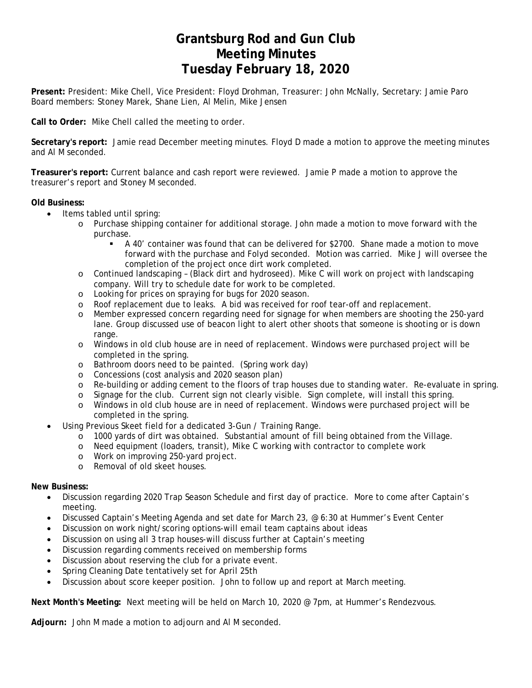### **Grantsburg Rod and Gun Club Meeting Minutes Tuesday February 18, 2020**

**Present:** President: Mike Chell, Vice President: Floyd Drohman, Treasurer: John McNally, Secretary: Jamie Paro Board members: Stoney Marek, Shane Lien, Al Melin, Mike Jensen

**Call to Order:** Mike Chell called the meeting to order.

**Secretary's report:** Jamie read December meeting minutes. Floyd D made a motion to approve the meeting minutes and Al M seconded.

**Treasurer's report:** Current balance and cash report were reviewed. Jamie P made a motion to approve the treasurer's report and Stoney M seconded.

#### **Old Business:**

- Items tabled until spring:
	- o Purchase shipping container for additional storage. John made a motion to move forward with the purchase.
		- A 40' container was found that can be delivered for \$2700. Shane made a motion to move forward with the purchase and Folyd seconded. Motion was carried. Mike J will oversee the completion of the project once dirt work completed.
	- o Continued landscaping (Black dirt and hydroseed). Mike C will work on project with landscaping company. Will try to schedule date for work to be completed.
	- o Looking for prices on spraying for bugs for 2020 season.
	- o Roof replacement due to leaks. A bid was received for roof tear-off and replacement.
	- o Member expressed concern regarding need for signage for when members are shooting the 250-yard lane. Group discussed use of beacon light to alert other shoots that someone is shooting or is down range.
	- o Windows in old club house are in need of replacement. Windows were purchased project will be completed in the spring.
	- o Bathroom doors need to be painted. (Spring work day)
	- o Concessions (cost analysis and 2020 season plan)
	- o Re-building or adding cement to the floors of trap houses due to standing water. Re-evaluate in spring.
	- o Signage for the club. Current sign not clearly visible. Sign complete, will install this spring.
	- o Windows in old club house are in need of replacement. Windows were purchased project will be completed in the spring.
	- Using Previous Skeet field for a dedicated 3-Gun / Training Range.
		- o 1000 yards of dirt was obtained. Substantial amount of fill being obtained from the Village.
		- o Need equipment (loaders, transit), Mike C working with contractor to complete work
		- o Work on improving 250-yard project.
		- o Removal of old skeet houses.

#### **New Business:**

- Discussion regarding 2020 Trap Season Schedule and first day of practice. More to come after Captain's meeting.
- Discussed Captain's Meeting Agenda and set date for March 23, @ 6:30 at Hummer's Event Center
- Discussion on work night/scoring options-will email team captains about ideas
- Discussion on using all 3 trap houses-will discuss further at Captain's meeting
- Discussion regarding comments received on membership forms
- Discussion about reserving the club for a private event.
- Spring Cleaning Date tentatively set for April 25th
- Discussion about score keeper position. John to follow up and report at March meeting.

**Next Month's Meeting:** Next meeting will be held on March 10, 2020 @ 7pm, at Hummer's Rendezvous.

**Adjourn:** John M made a motion to adjourn and Al M seconded.